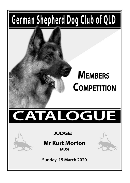## German Shepherd Dog Club of QLD

## **MEMBERS COMPETITION**

# $\boldsymbol{\Lambda}$



### **JUDGE:**

### **Mr Kurt Morton**

 $(AUS)$ 

Sunday 15 March 2020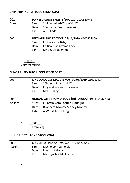#### **BABY PUPPY BITCH LONG STOCK COAT**

| 001    |       | JAKNELL FLAME TREES 8/10/2019 2100530743    |
|--------|-------|---------------------------------------------|
| Absent | Sire: | *Jaknell Worth The Wait AZ                  |
|        | Dam:  | *Conkasha Exotic Jewel AZ                   |
|        | Exh:  | A & J.Kada                                  |
| 002    |       | LETTLAND EPIC EDITION 27/11/2019 4100329869 |
|        | Sire: | Eroica Ice Ice Baby                         |
|        |       | Dam: Ch Beautrae Xtreme Envy                |
|        | Exh:  | Mr B & D Houghton                           |

1. \_\_002\_\_

Very Promising

#### **MINOR PUPPY BITCH LONG STOCK COAT**

| 003    | KINGLAND JUST MAGGIE MAY 30/06/2019 2100524177  |
|--------|-------------------------------------------------|
|        | *Cinderhof Vandaal AZ<br>Sire:                  |
|        | Kingland Whole Lotta Kayos<br>Dam:              |
|        | Exh:<br>Mrs L G King                            |
| 004    | AMDAK GIFT FROM ABOVE (AI) 2/08/2019 4100325481 |
| Absent | Quattro Vom Steffen Haus (Deu)<br>Sire:         |
|        | <b>Bronacre Money Money Money</b><br>Dam:       |
|        | Exh:<br>A Wood And J King                       |

1.  $003$ 

Promising

#### **JUNIOR BITCH LONG STOCK COAT**

| 005    |       | CINDERHOF INDIAA 29/09/2018 2100506465 |
|--------|-------|----------------------------------------|
| Absent | Sire: | Macho Vom Lamorak                      |
|        |       | Dam: Frienhauf Havoc                   |
|        | Fxh:  | Ms L Lynch & Ms J Cathie               |

1. \_\_\_\_\_\_\_\_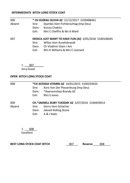#### **INTERMEDIATE BITCH LONG STOCK COAT**

#### 006 **\* CH KUIRAU OLIVIA AZ** 21/12/2017 2100488461

*\_\_\_\_\_\_\_\_\_\_\_\_\_\_\_\_\_\_\_\_\_\_\_\_\_\_\_\_\_\_\_\_\_\_\_\_\_\_\_\_\_\_\_\_\_\_\_\_\_\_\_\_\_\_\_\_\_\_\_\_\_\_\_\_\_\_\_\_\_\_\_\_*

- Absent Sire: Djambo Vom Fichtenschlag (Imp Deu)
	- Dam: Kuirau Chakira
	- Exh: Mrs C Cheffirs & Ms A Ward

#### 007 **EROICA JUST WANT TO HAVE FUN (AI)** 3/05/2018 5100106045

- Sire: Willas Vom Aurelisbrandt
- Dam: Ch Vladimir Glam I Am
- Exh: Mrs K Williams & Mrs C Leonard

1.  $007$ 

Very Good

#### **OPEN BITCH LONG STOCK COAT**

| 008    | *CH ASTASIA VITARNI AZ 14/01/2015 4100254433 |                                                  |  |  |
|--------|----------------------------------------------|--------------------------------------------------|--|--|
|        | Sire:                                        | Xaro Von Der Plassenburg (Imp Deu)               |  |  |
|        | Dam:                                         | *Awesamshep Brandy AZ                            |  |  |
|        | Fxh:                                         | Mrs S Jones                                      |  |  |
| 009    |                                              | CH.*JAKNELL RUBY TUESDAY AZ 3/07/2016 2100459014 |  |  |
| Absent | Sire:                                        | Gerry Vom Schacher                               |  |  |

- Dam: Jaknell Rolling Stone
- Exh: A & J Kada

1. \_\_\_008\_\_ Excellent

BEST LONG STOCK COAT BITCH **DEST LONG STOCK COAT BITCH DEST** DOS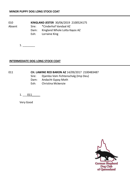010 **KINGLAND JESTER** 30/06/2019 2100524175

Absent Sire: \*Cinderhof Vandaal AZ<br>Dam: Kingland Whole Lotta K

- Kingland Whole Lotta Kayos AZ
- Exh: Lorraine King

 $1.$ 

#### **INTERMEDIATE DOG LONG STOCK COAT**

#### 011 **CH. LAWINE RED BARON AZ** 14/09/2017 2100483487

- Sire: Djambo Vom Fichtenschalg (Imp Deu)
- Dam: Andacht Gypsy Moth
- Exh: Christina Mckenzie

1. 011

Very Good

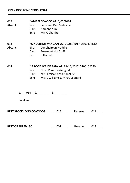012 \***AMBERG VACCO AZ** 4/05/2014 Absent Sire: Pepe Von Der Zenteiche Dam: Amberg Yumi Exh: Mrs C Cheffirs

013 **\*CINDERHOF VANDAAL AZ** 20/05/2017 2100478612 Absent Sire: Conbhairean Freddie Dam: Freemont Hot Stuff Exh: R Hornick

014 \* **EROCIA ICE ICE BABY AZ** 28/10/2017 5100102740

- Sire: Grisu Vom Frankengold
- Dam: \*Ch. Eroica Coco Chanel AZ
- Exh: Mrs K Williams & Mrs C Leonard

 $1.$   $014$  2.  $3.$ 

Excellent

**BEST STOCK LONG COAT DOG** \_\_\_014\_\_\_\_ **Reserve** \_\_\_\_011\_\_\_\_

**BEST OF BREED LSC**   $007$  **Reserve**  $014$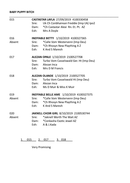#### **BABY PUPPY BITCH**

| 015    | CASTASTAR LAYLA 27/09/2019 4100330458 |                                                 |  |  |  |
|--------|---------------------------------------|-------------------------------------------------|--|--|--|
|        | Sire:                                 | Uk Ch Conbhairean Freddie (Imp Uk) Ipo2         |  |  |  |
|        | Dam:                                  | *Ch Castastar Alexi Rn. Et. Pt. AZ              |  |  |  |
|        | Exh:                                  | Mrs A Doyle                                     |  |  |  |
| 016    |                                       | INEFFABLE BETTY 1/10/2019 4100327365            |  |  |  |
| Absent | Sire:                                 | *Calle Vom Westervenn (Imp Deu)                 |  |  |  |
|        | Dam:                                  | *Ch Rhosyn New Plaything A Z                    |  |  |  |
|        | Exh:                                  | K And S Maresh                                  |  |  |  |
| 017    |                                       | ALEZAN OPALE 1/10/2019 2100527708               |  |  |  |
|        | Sire:                                 | Turbo Vom Casselswald Ger. Ht (Imp Deu)         |  |  |  |
|        | Dam:                                  | Alezan Inca                                     |  |  |  |
|        | Exh:                                  | Mrs D M Francis                                 |  |  |  |
| 018    |                                       | ALEZAN OLANDE 1/10/2019 2100527705              |  |  |  |
|        | Sire:                                 | Turbo Vom Casselswald Ht (Imp Deu)              |  |  |  |
|        |                                       | Dam: Alezan Inca                                |  |  |  |
|        | Fxh: T                                | Ms D Muir & Miss K Muir                         |  |  |  |
| 019    |                                       | <b>INEFFABLE BELLE AME</b> 1/10/2019 4100327375 |  |  |  |
| Absent | Sire:                                 | *Calle Vom Westervenn (Imp Deu)                 |  |  |  |
|        | Dam:                                  | *Ch Rhosyn New Plaything A Z                    |  |  |  |
|        | Exh: T                                | K And S Maresh                                  |  |  |  |
| 020    |                                       | JAKNELL CHOIR GIRL 8/10/2019 2100530744         |  |  |  |
| Absent | Sire:                                 | *Jaknell Worth The Wait A7                      |  |  |  |
|        | Dam:                                  | *Conkasha Exotic Jewel AZ                       |  |  |  |
|        | Exh: T                                | A & J.Kada                                      |  |  |  |
|        |                                       |                                                 |  |  |  |

1. 015 2. 017 3. 018

Very Promising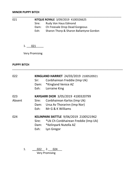#### **MINOR PUPPY BITCH**

| 021 |       | KITQUE ROYALE 3/09/2019 4100326625      |  |
|-----|-------|-----------------------------------------|--|
|     | Sire: | Rudy Von Haus Edmond                    |  |
|     | Dam:  | Ch Freevale Drop Dead Gorgeous          |  |
|     | Exh:  | Sharon Thorp & Sharon Ballantyne Gordon |  |

 $1. \_ 021$ 

Very Promising

#### **PUPPY BITCH**

| 022    | Sir: T<br>Exh: | KINGLAND HARRIET 24/03/2019 2100520921<br>Conbhairean Freddie (Imp Uk)<br>Dam: *Kingland Venice AZ<br>Lorraine King |
|--------|----------------|---------------------------------------------------------------------------------------------------------------------|
| 023    |                | KAYGARR DIOR 3/05/2019 4100320799                                                                                   |
| Absent | Sire:          | Conbhairean Karlos (Imp Uk)                                                                                         |
|        |                | Dam: Ursa Av Thorarinn (Imp Nor)                                                                                    |
|        |                | $Exh$ : Mr G & K Williams                                                                                           |
| 024    |                | KELINPARK SKITTLE 9/06/2019 2100521962                                                                              |
|        |                | Sire: *Uk Ch Conbhairean Freddie (Imp Uk)                                                                           |
|        |                | Dam: *Kelinpark Nutella AZ                                                                                          |
|        | Exh: I         | Lyn Gregor                                                                                                          |
|        |                |                                                                                                                     |
|        |                |                                                                                                                     |

*\_\_\_\_\_\_\_\_\_\_\_\_\_\_\_\_\_\_\_\_\_\_\_\_\_\_\_\_\_\_\_\_\_\_\_\_\_\_\_\_\_\_\_\_\_\_\_\_\_\_\_\_\_\_\_\_\_\_\_\_\_\_\_\_\_\_\_\_\_\_\_\_*

1.  $022$  2. 024 Very Promising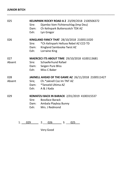#### **JUNIOR BITCH**

| 025    | Sire:<br>Dam:<br>Exh:   | KELINPARK ROCKY ROAD A Z 23/09/2018 2100506372<br>Djambo Vom Fichtenschlag (Imp Deu)<br>Ch Kelinpark Butterscotch TDX AZ<br>Lyn Gregor |
|--------|-------------------------|----------------------------------------------------------------------------------------------------------------------------------------|
| 026    | Sire:<br>Dam:<br>Exh: T | KINGLAND FANCY THAT 28/10/2018 2100511020<br>*Ch Kelinpark Helluva Rebel AZ CCD TD<br>Kingland Sambooka Twist AZ<br>Lorraine King      |
| 027    |                         | MAERCECI ITS ABOUT TIME 29/10/2018 6100113681                                                                                          |
| Absent |                         | Sire: Schaeferhund Rafael                                                                                                              |
|        |                         | Dam: Seigen Pure Bliss                                                                                                                 |
|        |                         | Exh: Miss C Baker                                                                                                                      |
| 028    |                         | <b>JAKNELL AHEAD OF THE GAME AZ 26/11/2018 2100511427</b>                                                                              |
| Absent |                         | Sire; Ch.*Jaknell Coz Im TNT AZ                                                                                                        |
|        |                         | Dam: *Tanveld Ultima AZ                                                                                                                |
|        |                         | Exh: A & J Kada                                                                                                                        |
| 029    |                         | KOMATZU BACK IN BARACK 2/01/2019 4100315537                                                                                            |
|        | Sire:                   | <b>Bossface Barack</b>                                                                                                                 |
|        |                         | Dam: Ambala Playboy Bunny                                                                                                              |
|        |                         | Exh: Mrs. J Redmond                                                                                                                    |
|        |                         |                                                                                                                                        |
|        |                         |                                                                                                                                        |

*\_\_\_\_\_\_\_\_\_\_\_\_\_\_\_\_\_\_\_\_\_\_\_\_\_\_\_\_\_\_\_\_\_\_\_\_\_\_\_\_\_\_\_\_\_\_\_\_\_\_\_\_\_\_\_\_\_\_\_\_\_\_\_\_\_\_\_\_\_\_*

 $1. \_ 029 \_ 2. \_ 026 \_ 3. \_ 025$ 

Very Good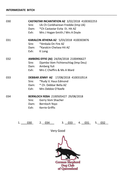| 030 | Exh: T                | <b>CASTASTAR INCANTATION AZ 3/02/2018 4100302253</b><br>Sire: Uk Ch Conbhairean Freddie (Imp Uk)<br>Dam: * Ch Castastar Evita Et. Hit AZ<br>Mrs J Hogan-Smith / Mrs A Doyle |
|-----|-----------------------|-----------------------------------------------------------------------------------------------------------------------------------------------------------------------------|
| 031 | Sire: Sire:<br>Exh: T | KARALCIN ATHENA AZ 5/03/2018 4100303876<br>*Ambala On Fire AZ<br>Dam: *Karalcin Chelsea Hit AZ<br>K Long                                                                    |
| 032 | Sire:                 | AMBERG EFFIE (AI) 24/04/2018 2100496627<br>Djambo Vom Fichtenschlag (Imp Deu)<br>Dam: Amberg Yuli<br>Exh: Mrs C Cheffirs & Ms A Ward                                        |
| 033 | Sire:                 | DEBBAR JENNY AZ 17/08/2018 4100310514<br>*Rudy V. Haus Edmond<br>Dam: * Ch. Debbar Bella AZ<br>Exh: Mrs Debbie O'Keefe                                                      |
| 034 | Sire:                 | BERNLOCH REBA 2100505427 29/08/2018<br>Gerry Vom Shacher<br>Dam: Bernloch Yoyo<br>Exh: Kerrie Griffis                                                                       |

*\_\_\_\_\_\_\_\_\_\_\_\_\_\_\_\_\_\_\_\_\_\_\_\_\_\_\_\_\_\_\_\_\_\_\_\_\_\_\_\_\_\_\_\_\_\_\_\_\_\_\_\_\_\_\_\_\_\_\_\_\_\_\_\_\_\_\_\_\_\_\_\_*

1. \_\_\_\_030\_ 2.\_\_034\_\_\_ 3. \_\_033\_\_ 4. \_\_031\_ 5.\_\_032\_\_

Very Good

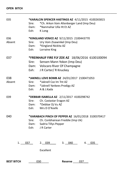| 035    |        | *KARALCIN SPENCER HASTINGS AZ 4/11/2015 4100265815 |
|--------|--------|----------------------------------------------------|
|        | Sire:  | *Ch. Arkon Vom Altenberger Land (Imp Deu)          |
|        | Dam:   | *Nanmahar Ulla Ht Et AZ                            |
|        | Exh:   | K Long                                             |
| 036    |        | *KINGLAND VENICE AZ 9/11/2015 2100443770           |
| Absent | Sire:  | Ury Vom Zisawinkel (Imp Deu)                       |
|        | Dam:   | *Kingland Nickita AZ                               |
|        | Exh:   | Lorraine King                                      |
| 037    |        | *FREINHAUF FIRE FLY ZOE AZ 18/06/2016 6100100094   |
|        | Sire:  | Sensen Mann Yokon (Imp Deu)                        |
|        |        | Dam: Volscaro River Of Champagne                   |
|        | Exh:   | J R Carter/ R Knuckey                              |
| 038    |        | *JAKNELL LOVE BOMB AZ 24/01/2017 2100471053        |
| Absent | Sire:  | *Jaknell Coz Im Tnt AZ                             |
|        | Dam:   | *Jaknell Yankees Prodigy AZ                        |
|        | Exh: T | A & J.Kada                                         |
| 039    |        | *DEBBAR ISABELLA AZ 2/11/2017 4100298742           |
|        | Sire:  | Ch. Castastar Eragon AZ                            |
|        | Dam:   | *Debbar Dj Vu AZ                                   |
|        | Exh: T | Mrs D O'Keefe                                      |
| 040    |        | *KARABACH PINCH OF PEPPER AZ 16/01/2018 3100370417 |
|        | Sire:  | Ch. Conbhairean Freddie (Imp Uk)                   |
|        | Dam:   | Sadria Tillys Pepper                               |
|        | Exh:   | J R Carter                                         |
|        |        |                                                    |
| 1.     | 037    | 2. 039<br>3. 040<br>4. 035                         |
|        |        |                                                    |
|        |        | Excellent                                          |

| <b>BEST BITCH</b> | 030 | Reserve |  |  |
|-------------------|-----|---------|--|--|
|-------------------|-----|---------|--|--|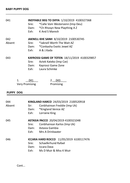| 041    |    | Sire:<br>Dam:<br>Exh: T      | <b>INEFFABLE BEG TO DIFFA 1/10/2019 4100327368</b><br>*Calle Vom Westervenn (Imp Deu)<br>*Ch Rhosyn New Plaything A Z<br>K And S Maresh |  |
|--------|----|------------------------------|-----------------------------------------------------------------------------------------------------------------------------------------|--|
| 042    |    |                              | <b>JAKNELL KHE SANH 8/10/2019 2100530745</b>                                                                                            |  |
| Absent |    | Sire:                        | *Jaknell Worth The Wait A7                                                                                                              |  |
|        |    |                              | Dam: *Conkasha Exotic Jewel AZ                                                                                                          |  |
|        |    | Exh: T                       | - A & J.Kada                                                                                                                            |  |
| 043    |    |                              | <b>KAYROSSI GAME OF TOTEN 18/11/2019 4100329857</b>                                                                                     |  |
|        |    | Sire:                        | Aztek Kateko (Imp Cze)                                                                                                                  |  |
|        |    |                              | Dam: Kayrossi Game Zone                                                                                                                 |  |
|        |    | Fxh: T                       | Laura Schimke                                                                                                                           |  |
|        | 1. | 041<br><b>Very Promising</b> | 2.<br>043<br>Promising                                                                                                                  |  |

\_\_\_\_\_\_\_\_\_\_\_\_\_\_\_\_\_\_\_\_\_\_\_\_\_\_\_\_\_\_\_\_\_\_\_\_\_\_\_\_\_\_\_\_\_\_\_\_\_\_\_\_\_\_\_\_\_\_\_\_\_\_\_\_\_\_\_\_\_

#### **PUPPY DOG**

| 044<br>Absent | Sir: I<br>Exh: T | KINGLAND HARCO 24/03/2019 2100520918<br>Conbhairean Freddie (Imp Uk)<br>Dam: *Kingland Venice AZ<br>Lorraine King         |
|---------------|------------------|---------------------------------------------------------------------------------------------------------------------------|
| 045           | Sire:            | ASTASIA PACCO 20/04/2019 4100321048<br>Conbhairean Karlos (Imp Uk)<br>Dam: Astasia Gambia<br>Exh: Mrs A Drinkwater        |
| 046           | Sire:            | ICCARA HARD ROCCO 11/05/2019 6100117476<br>Schaeferhund Rafael<br>Dam: Iccara Dava<br><b>Fxh:</b> Ms D Muir & Miss K Muir |

Cont...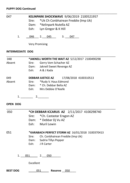#### **PUPPY DOG Continued**

| 047 | KELINPARK SHOCKWAVE 9/06/2019 2100521957  |
|-----|-------------------------------------------|
|     | Sire: *Uk Ch Conbhairean Freddie (Imp Uk) |
|     | Dam: *Kelinpark Nutella AZ                |
|     | Exh: Lyn Gregor & K Hill                  |
|     |                                           |

\_\_\_\_\_\_\_\_\_\_\_\_\_\_\_\_\_\_\_\_\_\_\_\_\_\_\_\_\_\_\_\_\_\_\_\_\_\_\_\_\_\_\_\_\_\_\_\_\_\_\_\_\_\_\_\_\_\_\_\_\_\_\_\_\_\_\_\_\_\_\_\_

1.  $046$  2.  $045$  3. 047

Very Promising

#### **INTERMEDIATE DOG**

| 048             |                                                  | *JAKNELL WORTH THE WAIT AZ 5/12/2017 2100490298   |  |  |  |
|-----------------|--------------------------------------------------|---------------------------------------------------|--|--|--|
| Absent          |                                                  | Sire: Gerry Vom Schacher AZ                       |  |  |  |
|                 |                                                  | Dam: Jaknell Sweet Revenge AZ                     |  |  |  |
|                 |                                                  | Exh: A & J Kada                                   |  |  |  |
| 049             |                                                  | 17/08/2018 4100310513<br><b>DEBBAR JUSTICE AZ</b> |  |  |  |
| Absent          |                                                  | Sire: *Rudy V. Haus Edmond                        |  |  |  |
|                 |                                                  | Dam: * Ch. Debbar Bella AZ                        |  |  |  |
|                 |                                                  | Exh: Mrs Debbie O'Keefe                           |  |  |  |
|                 |                                                  |                                                   |  |  |  |
|                 |                                                  |                                                   |  |  |  |
| <b>OPEN DOG</b> |                                                  |                                                   |  |  |  |
| 050             |                                                  | *CH DEBBAR ICCARUS AZ 2/11/2017 4100298740        |  |  |  |
|                 | Sire:                                            | *Ch. Castastar Eragon AZ                          |  |  |  |
|                 |                                                  | Dam: * Debbar Dj Vu AZ                            |  |  |  |
|                 |                                                  | Exh: Muril Lewin                                  |  |  |  |
| 051             | *KARABACH PERFECT STORM AZ 16/01/2018 3100370413 |                                                   |  |  |  |
|                 |                                                  | Sire: Ch. Conbhairean Freddie (Imp Uk)            |  |  |  |
|                 |                                                  | Dam: Sadria Tillys Pepper                         |  |  |  |
|                 |                                                  | Exh: JR Carter                                    |  |  |  |
|                 |                                                  |                                                   |  |  |  |
|                 |                                                  | 1. 051 2. 050                                     |  |  |  |
|                 | Excellent                                        |                                                   |  |  |  |
| <b>BEST DOG</b> |                                                  | 051 7<br>Reserve 050                              |  |  |  |
|                 |                                                  |                                                   |  |  |  |